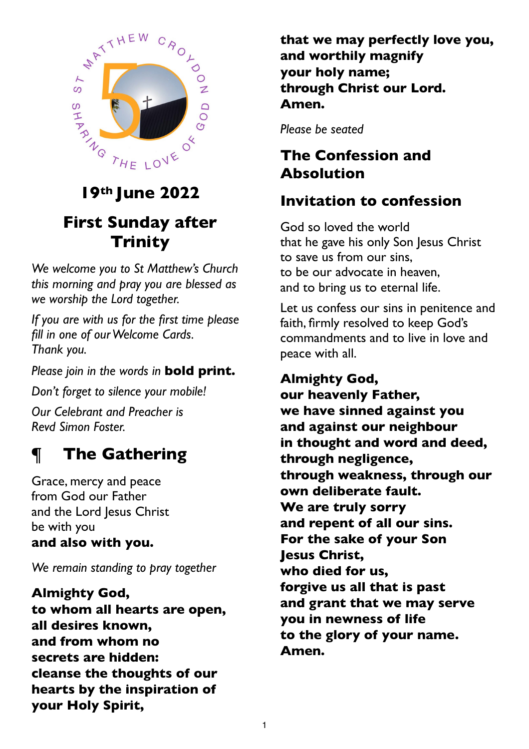

# **19th June 2022**

# **First Sunday after Trinity**

*We welcome you to St Matthew's Church this morning and pray you are blessed as we worship the Lord together.*

*If you are with us for the first time please fill in one of our Welcome Cards. Thank you.* 

*Please join in the words in* **bold print.** 

*Don't forget to silence your mobile!*

*Our Celebrant and Preacher is Revd Simon Foster.*

# **¶ The Gathering**

Grace, mercy and peace from God our Father and the Lord Jesus Christ be with you **and also with you.**

*We remain standing to pray together*

**Almighty God, to whom all hearts are open, all desires known, and from whom no secrets are hidden: cleanse the thoughts of our hearts by the inspiration of your Holy Spirit,**

**that we may perfectly love you, and worthily magnify your holy name; through Christ our Lord. Amen.**

*Please be seated*

### **The Confession and Absolution**

## **Invitation to confession**

God so loved the world that he gave his only Son Jesus Christ to save us from our sins, to be our advocate in heaven, and to bring us to eternal life.

Let us confess our sins in penitence and faith, firmly resolved to keep God's commandments and to live in love and peace with all.

#### **Almighty God,**

**our heavenly Father, we have sinned against you and against our neighbour in thought and word and deed, through negligence, through weakness, through our own deliberate fault. We are truly sorry and repent of all our sins. For the sake of your Son Jesus Christ, who died for us, forgive us all that is past and grant that we may serve you in newness of life to the glory of your name. Amen.**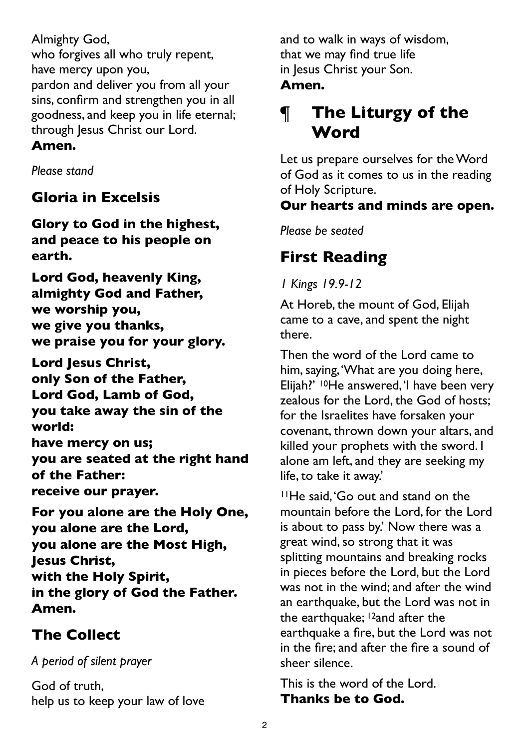Almighty God,

who forgives all who truly repent, have mercy upon you, pardon and deliver you from all your sins, confirm and strengthen you in all goodness, and keep you in life eternal; through Jesus Christ our Lord.

#### **Amen.**

*Please stand*

#### **Gloria in Excelsis**

**Glory to God in the highest, and peace to his people on earth.**

**Lord God, heavenly King, almighty God and Father, we worship you, we give you thanks, we praise you for your glory.**

**Lord Jesus Christ, only Son of the Father, Lord God, Lamb of God, you take away the sin of the world: have mercy on us; you are seated at the right hand of the Father: receive our prayer.**

**For you alone are the Holy One, you alone are the Lord, you alone are the Most High, Jesus Christ, with the Holy Spirit, in the glory of God the Father. Amen.**

## **The Collect**

*A period of silent prayer*

God of truth, help us to keep your law of love

and to walk in ways of wisdom, that we may find true life in Jesus Christ your Son. **Amen.**

# **¶ The Liturgy of the Word**

Let us prepare ourselves for the Word of God as it comes to us in the reading of Holy Scripture.

#### **Our hearts and minds are open.**

*Please be seated*

# **First Reading**

*1 Kings 19.9-12*

At Horeb, the mount of God, Elijah came to a cave, and spent the night there.

Then the word of the Lord came to him, saying, 'What are you doing here, Elijah?' 10He answered, 'I have been very zealous for the Lord, the God of hosts; for the Israelites have forsaken your covenant, thrown down your altars, and killed your prophets with the sword. I alone am left, and they are seeking my life, to take it away.'

11He said, 'Go out and stand on the mountain before the Lord, for the Lord is about to pass by.' Now there was a great wind, so strong that it was splitting mountains and breaking rocks in pieces before the Lord, but the Lord was not in the wind; and after the wind an earthquake, but the Lord was not in the earthquake; 12and after the earthquake a fire, but the Lord was not in the fire; and after the fire a sound of sheer silence.

This is the word of the Lord. **Thanks be to God.**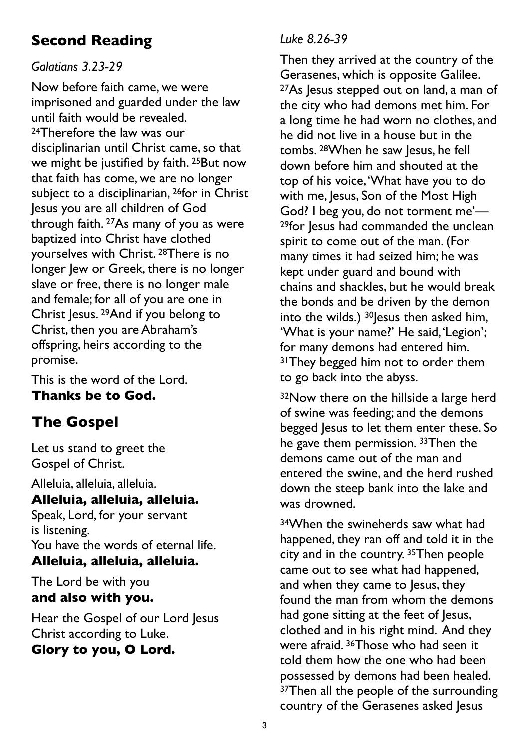### **Second Reading**

#### *Galatians 3.23-29*

Now before faith came, we were imprisoned and guarded under the law until faith would be revealed. 24Therefore the law was our disciplinarian until Christ came, so that we might be justified by faith. 25But now that faith has come, we are no longer subject to a disciplinarian, <sup>26</sup>for in Christ Jesus you are all children of God through faith. 27As many of you as were baptized into Christ have clothed yourselves with Christ. 28There is no longer Jew or Greek, there is no longer slave or free, there is no longer male and female; for all of you are one in Christ Jesus. <sup>29</sup>And if you belong to Christ, then you are Abraham's offspring, heirs according to the promise.

This is the word of the Lord. **Thanks be to God.**

# **The Gospel**

Let us stand to greet the Gospel of Christ.

Alleluia, alleluia, alleluia.

#### **Alleluia, alleluia, alleluia.**

Speak, Lord, for your servant is listening. You have the words of eternal life.

#### **Alleluia, alleluia, alleluia.**

The Lord be with you

#### **and also with you.**

Hear the Gospel of our Lord Jesus Christ according to Luke.

#### **Glory to you, O Lord.**

#### *Luke 8.26-39*

Then they arrived at the country of the Gerasenes, which is opposite Galilee. 27As Jesus stepped out on land, a man of the city who had demons met him. For a long time he had worn no clothes, and he did not live in a house but in the tombs. 28When he saw Jesus, he fell down before him and shouted at the top of his voice, 'What have you to do with me, Jesus, Son of the Most High God? I beg you, do not torment me'— 29for Jesus had commanded the unclean spirit to come out of the man. (For many times it had seized him; he was kept under guard and bound with chains and shackles, but he would break the bonds and be driven by the demon into the wilds.)  $30$  esus then asked him, 'What is your name?' He said, 'Legion'; for many demons had entered him. <sup>31</sup>They begged him not to order them to go back into the abyss.

32Now there on the hillside a large herd of swine was feeding; and the demons begged Jesus to let them enter these. So he gave them permission. 33Then the demons came out of the man and entered the swine, and the herd rushed down the steep bank into the lake and was drowned.

34When the swineherds saw what had happened, they ran off and told it in the city and in the country. 35Then people came out to see what had happened, and when they came to Jesus, they found the man from whom the demons had gone sitting at the feet of Jesus, clothed and in his right mind. And they were afraid. 36Those who had seen it told them how the one who had been possessed by demons had been healed. 37Then all the people of the surrounding country of the Gerasenes asked Jesus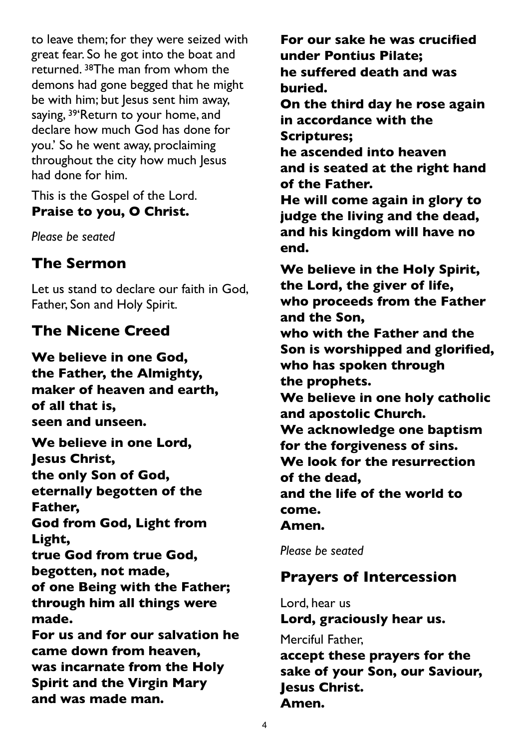to leave them; for they were seized with great fear. So he got into the boat and returned. 38The man from whom the demons had gone begged that he might be with him; but Jesus sent him away, saying, 39'Return to your home, and declare how much God has done for you.' So he went away, proclaiming throughout the city how much Jesus had done for him.

This is the Gospel of the Lord. **Praise to you, O Christ.**

*Please be seated*

### **The Sermon**

Let us stand to declare our faith in God, Father, Son and Holy Spirit.

## **The Nicene Creed**

**We believe in one God, the Father, the Almighty, maker of heaven and earth, of all that is, seen and unseen.** 

**We believe in one Lord, Jesus Christ, the only Son of God, eternally begotten of the Father,**

**God from God, Light from Light,**

**true God from true God, begotten, not made, of one Being with the Father; through him all things were made.**

**For us and for our salvation he came down from heaven, was incarnate from the Holy Spirit and the Virgin Mary and was made man.**

**For our sake he was crucified under Pontius Pilate; he suffered death and was buried. On the third day he rose again in accordance with the Scriptures; he ascended into heaven and is seated at the right hand of the Father. He will come again in glory to judge the living and the dead, and his kingdom will have no end. We believe in the Holy Spirit, the Lord, the giver of life, who proceeds from the Father and the Son, who with the Father and the Son is worshipped and glorified, who has spoken through the prophets. We believe in one holy catholic and apostolic Church. We acknowledge one baptism for the forgiveness of sins. We look for the resurrection of the dead, and the life of the world to come. Amen.**

*Please be seated*

### **Prayers of Intercession**

Lord, hear us **Lord, graciously hear us.**

Merciful Father, **accept these prayers for the sake of your Son, our Saviour, Jesus Christ. Amen.**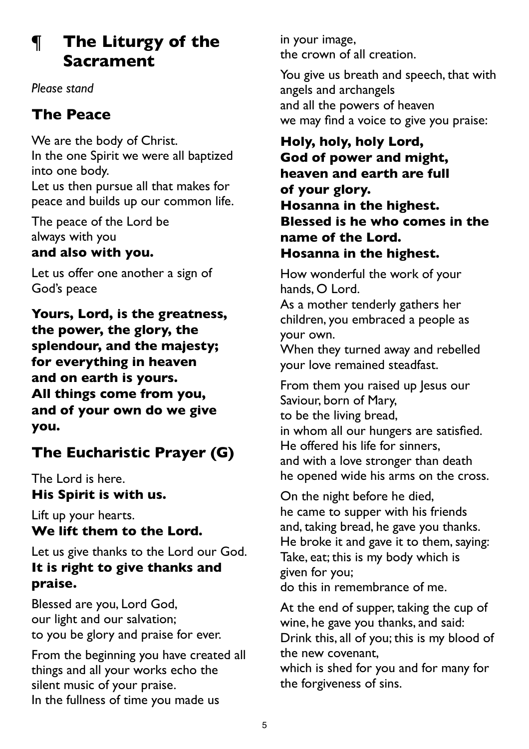# **¶ The Liturgy of the Sacrament**

*Please stand*

## **The Peace**

We are the body of Christ. In the one Spirit we were all baptized into one body.

Let us then pursue all that makes for peace and builds up our common life.

The peace of the Lord be always with you **and also with you.**

Let us offer one another a sign of God's peace

**Yours, Lord, is the greatness, the power, the glory, the splendour, and the majesty; for everything in heaven and on earth is yours. All things come from you, and of your own do we give you.**

# **The Eucharistic Prayer (G)**

The Lord is here. **His Spirit is with us.**

Lift up your hearts. **We lift them to the Lord.**

Let us give thanks to the Lord our God. **It is right to give thanks and praise.**

Blessed are you, Lord God, our light and our salvation; to you be glory and praise for ever.

From the beginning you have created all things and all your works echo the silent music of your praise. In the fullness of time you made us

in your image, the crown of all creation.

You give us breath and speech, that with angels and archangels and all the powers of heaven we may find a voice to give you praise:

#### **Holy, holy, holy Lord,**

**God of power and might, heaven and earth are full of your glory. Hosanna in the highest. Blessed is he who comes in the name of the Lord. Hosanna in the highest.**

How wonderful the work of your hands, O Lord.

As a mother tenderly gathers her children, you embraced a people as your own.

When they turned away and rebelled your love remained steadfast.

From them you raised up lesus our Saviour, born of Mary, to be the living bread, in whom all our hungers are satisfied. He offered his life for sinners, and with a love stronger than death he opened wide his arms on the cross.

On the night before he died, he came to supper with his friends and, taking bread, he gave you thanks. He broke it and gave it to them, saying: Take, eat; this is my body which is given for you; do this in remembrance of me.

At the end of supper, taking the cup of wine, he gave you thanks, and said: Drink this, all of you; this is my blood of the new covenant,

which is shed for you and for many for the forgiveness of sins.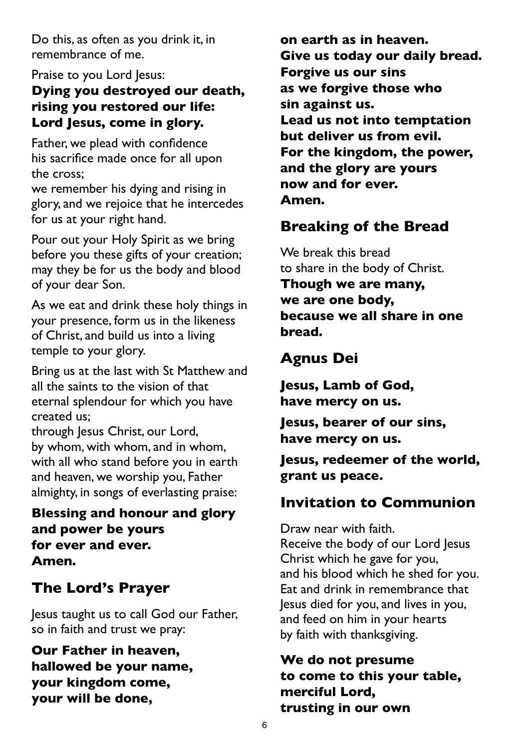Do this, as often as you drink it, in remembrance of me.

Praise to you Lord Jesus:

#### **Dying you destroyed our death, rising you restored our life: Lord Jesus, come in glory.**

Father, we plead with confidence his sacrifice made once for all upon the cross;

we remember his dying and rising in glory, and we rejoice that he intercedes for us at your right hand.

Pour out your Holy Spirit as we bring before you these gifts of your creation; may they be for us the body and blood of your dear Son.

As we eat and drink these holy things in your presence, form us in the likeness of Christ, and build us into a living temple to your glory.

Bring us at the last with St Matthew and all the saints to the vision of that eternal splendour for which you have created us;

through Jesus Christ, our Lord, by whom, with whom, and in whom, with all who stand before you in earth and heaven, we worship you, Father almighty, in songs of everlasting praise:

#### **Blessing and honour and glory and power be yours for ever and ever. Amen.**

## **The Lord's Prayer**

Jesus taught us to call God our Father, so in faith and trust we pray:

**Our Father in heaven, hallowed be your name, your kingdom come, your will be done,**

**on earth as in heaven. Give us today our daily bread. Forgive us our sins as we forgive those who sin against us. Lead us not into temptation but deliver us from evil. For the kingdom, the power, and the glory are yours now and for ever. Amen.**

## **Breaking of the Bread**

We break this bread to share in the body of Christ. **Though we are many, we are one body, because we all share in one bread.**

### **Agnus Dei**

**Jesus, Lamb of God, have mercy on us.**

**Jesus, bearer of our sins, have mercy on us.**

**Jesus, redeemer of the world, grant us peace.**

### **Invitation to Communion**

Draw near with faith. Receive the body of our Lord Jesus Christ which he gave for you, and his blood which he shed for you. Eat and drink in remembrance that Jesus died for you, and lives in you, and feed on him in your hearts by faith with thanksgiving.

**We do not presume to come to this your table, merciful Lord, trusting in our own**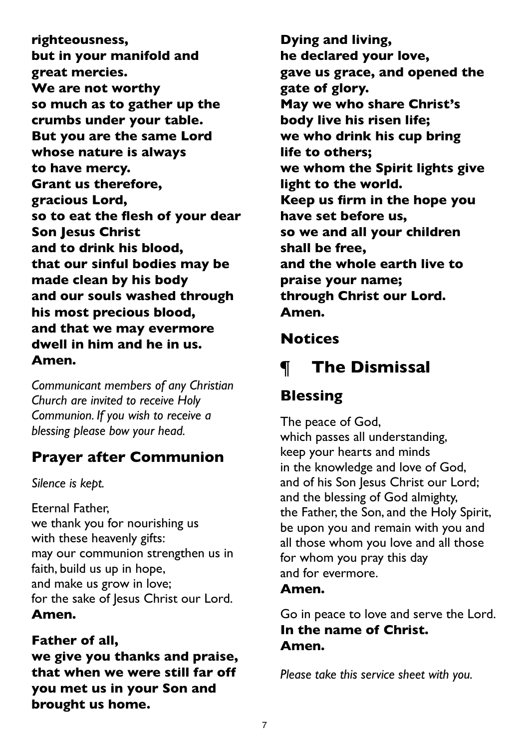**righteousness, but in your manifold and great mercies. We are not worthy so much as to gather up the crumbs under your table. But you are the same Lord whose nature is always to have mercy. Grant us therefore, gracious Lord, so to eat the flesh of your dear Son Jesus Christ and to drink his blood, that our sinful bodies may be made clean by his body and our souls washed through his most precious blood, and that we may evermore dwell in him and he in us. Amen.**

*Communicant members of any Christian Church are invited to receive Holy Communion. If you wish to receive a blessing please bow your head.*

#### **Prayer after Communion**

*Silence is kept.*

Eternal Father, we thank you for nourishing us with these heavenly gifts: may our communion strengthen us in faith, build us up in hope, and make us grow in love; for the sake of Jesus Christ our Lord. **Amen.**

#### **Father of all,**

**we give you thanks and praise, that when we were still far off you met us in your Son and brought us home.**

**Dying and living, he declared your love, gave us grace, and opened the gate of glory. May we who share Christ's body live his risen life; we who drink his cup bring life to others; we whom the Spirit lights give light to the world. Keep us firm in the hope you have set before us, so we and all your children shall be free, and the whole earth live to praise your name; through Christ our Lord. Amen.**

#### **Notices**

# **¶ The Dismissal**

# **Blessing**

The peace of God, which passes all understanding, keep your hearts and minds in the knowledge and love of God, and of his Son Jesus Christ our Lord; and the blessing of God almighty, the Father, the Son, and the Holy Spirit, be upon you and remain with you and all those whom you love and all those for whom you pray this day and for evermore.

#### **Amen.**

Go in peace to love and serve the Lord. **In the name of Christ. Amen.**

*Please take this service sheet with you.*